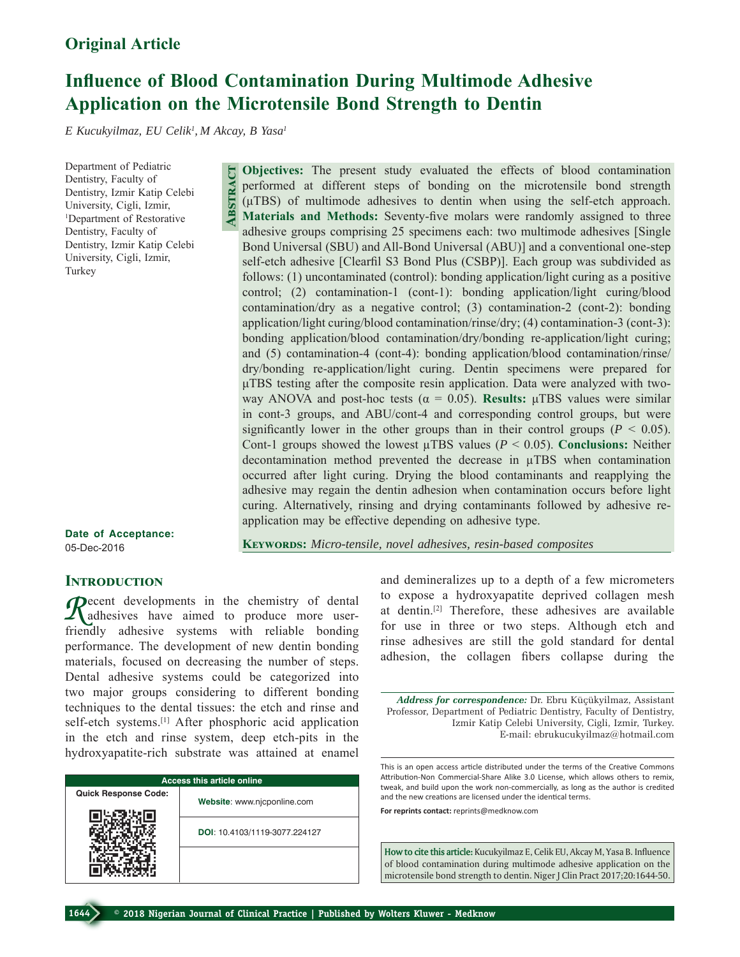# **Influence of Blood Contamination During Multimode Adhesive Application on the Microtensile Bond Strength to Dentin**

*E Kucukyilmaz, EU Celik1 , M Akcay, B Yasa1*

**Abstract**

Department of Pediatric Dentistry, Faculty of Dentistry, Izmir Katip Celebi University, Cigli, Izmir, 1 Department of Restorative Dentistry, Faculty of Dentistry, Izmir Katip Celebi University, Cigli, Izmir, Turkey

**Date of Acceptance:** 05-Dec-2016

**Keywords:** *Micro-tensile, novel adhesives, resin-based composites*

application may be effective depending on adhesive type.

**Objectives:** The present study evaluated the effects of blood contamination performed at different steps of bonding on the microtensile bond strength (μTBS) of multimode adhesives to dentin when using the self-etch approach. **Materials and Methods:** Seventy-five molars were randomly assigned to three adhesive groups comprising 25 specimens each: two multimode adhesives [Single Bond Universal (SBU) and All-Bond Universal (ABU)] and a conventional one-step self-etch adhesive [Clearfil S3 Bond Plus (CSBP)]. Each group was subdivided as follows: (1) uncontaminated (control): bonding application/light curing as a positive control; (2) contamination-1 (cont-1): bonding application/light curing/blood contamination/dry as a negative control; (3) contamination-2 (cont-2): bonding application/light curing/blood contamination/rinse/dry; (4) contamination-3 (cont-3): bonding application/blood contamination/dry/bonding re-application/light curing; and (5) contamination-4 (cont-4): bonding application/blood contamination/rinse/ dry/bonding re-application/light curing. Dentin specimens were prepared for μTBS testing after the composite resin application. Data were analyzed with twoway ANOVA and post-hoc tests ( $\alpha = 0.05$ ). **Results:**  $\mu$ TBS values were similar in cont-3 groups, and ABU/cont-4 and corresponding control groups, but were significantly lower in the other groups than in their control groups ( $P < 0.05$ ). Cont-1 groups showed the lowest  $\mu$ TBS values ( $P < 0.05$ ). **Conclusions:** Neither decontamination method prevented the decrease in µTBS when contamination occurred after light curing. Drying the blood contaminants and reapplying the adhesive may regain the dentin adhesion when contamination occurs before light curing. Alternatively, rinsing and drying contaminants followed by adhesive re-

## **Introduction**

*R*ecent developments in the chemistry of dental adhesives have aimed to produce more userfriendly adhesive systems with reliable bonding performance. The development of new dentin bonding materials, focused on decreasing the number of steps. Dental adhesive systems could be categorized into two major groups considering to different bonding techniques to the dental tissues: the etch and rinse and self-etch systems.[1] After phosphoric acid application in the etch and rinse system, deep etch-pits in the hydroxyapatite-rich substrate was attained at enamel

| <b>Access this article online</b> |                               |  |  |
|-----------------------------------|-------------------------------|--|--|
| <b>Quick Response Code:</b>       | Website: www.njcponline.com   |  |  |
|                                   | DOI: 10.4103/1119-3077.224127 |  |  |
|                                   |                               |  |  |

and demineralizes up to a depth of a few micrometers to expose a hydroxyapatite deprived collagen mesh at dentin.[2] Therefore, these adhesives are available for use in three or two steps. Although etch and rinse adhesives are still the gold standard for dental adhesion, the collagen fibers collapse during the

*Address for correspondence:* Dr. Ebru Küçükyilmaz, Assistant Professor, Department of Pediatric Dentistry, Faculty of Dentistry, Izmir Katip Celebi University, Cigli, Izmir, Turkey. E-mail: ebrukucukyilmaz@hotmail.com

This is an open access article distributed under the terms of the Creative Commons Attribution-Non Commercial-Share Alike 3.0 License, which allows others to remix, tweak, and build upon the work non-commercially, as long as the author is credited and the new creations are licensed under the identical terms. **For reprints contact:** reprints@medknow.com

**How to cite this article:** Kucukyilmaz E, Celik EU, Akcay M, Yasa B. Influence of blood contamination during multimode adhesive application on the microtensile bond strength to dentin. Niger J Clin Pract 2017;20:1644-50.

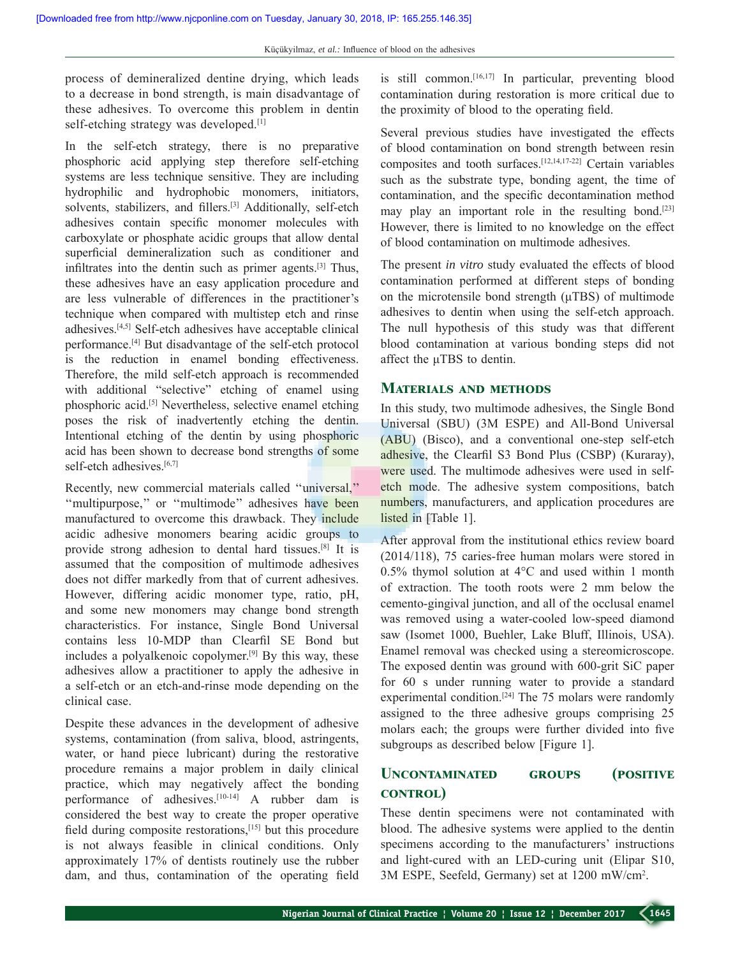process of demineralized dentine drying, which leads to a decrease in bond strength, is main disadvantage of these adhesives. To overcome this problem in dentin self-etching strategy was developed.<sup>[1]</sup>

In the self-etch strategy, there is no preparative phosphoric acid applying step therefore self-etching systems are less technique sensitive. They are including hydrophilic and hydrophobic monomers, initiators, solvents, stabilizers, and fillers.<sup>[3]</sup> Additionally, self-etch adhesives contain specific monomer molecules with carboxylate or phosphate acidic groups that allow dental superficial demineralization such as conditioner and infiltrates into the dentin such as primer agents.[3] Thus, these adhesives have an easy application procedure and are less vulnerable of differences in the practitioner's technique when compared with multistep etch and rinse adhesives.[4,5] Self-etch adhesives have acceptable clinical performance.[4] But disadvantage of the self-etch protocol is the reduction in enamel bonding effectiveness. Therefore, the mild self-etch approach is recommended with additional "selective" etching of enamel using phosphoric acid.[5] Nevertheless, selective enamel etching poses the risk of inadvertently etching the dentin. Intentional etching of the dentin by using phosphoric acid has been shown to decrease bond strengths of some self-etch adhesives.<sup>[6,7]</sup>

Recently, new commercial materials called ''universal,'' "multipurpose," or "multimode" adhesives have been manufactured to overcome this drawback. They include acidic adhesive monomers bearing acidic groups to provide strong adhesion to dental hard tissues.[8] It is assumed that the composition of multimode adhesives does not differ markedly from that of current adhesives. However, differing acidic monomer type, ratio, pH, and some new monomers may change bond strength characteristics. For instance, Single Bond Universal contains less 10-MDP than Clearfil SE Bond but includes a polyalkenoic copolymer.[9] By this way, these adhesives allow a practitioner to apply the adhesive in a self-etch or an etch-and-rinse mode depending on the clinical case.

Despite these advances in the development of adhesive systems, contamination (from saliva, blood, astringents, water, or hand piece lubricant) during the restorative procedure remains a major problem in daily clinical practice, which may negatively affect the bonding performance of adhesives.<sup>[10-14]</sup> A rubber dam is considered the best way to create the proper operative field during composite restorations,[15] but this procedure is not always feasible in clinical conditions. Only approximately 17% of dentists routinely use the rubber dam, and thus, contamination of the operating field

is still common.[16,17] In particular, preventing blood contamination during restoration is more critical due to the proximity of blood to the operating field.

Several previous studies have investigated the effects of blood contamination on bond strength between resin composites and tooth surfaces.[12,14,17-22] Certain variables such as the substrate type, bonding agent, the time of contamination, and the specific decontamination method may play an important role in the resulting bond.<sup>[23]</sup> However, there is limited to no knowledge on the effect of blood contamination on multimode adhesives.

The present *in vitro* study evaluated the effects of blood contamination performed at different steps of bonding on the microtensile bond strength (μTBS) of multimode adhesives to dentin when using the self-etch approach. The null hypothesis of this study was that different blood contamination at various bonding steps did not affect the μTBS to dentin.

#### **Materials and methods**

In this study, two multimode adhesives, the Single Bond Universal (SBU) (3M ESPE) and All-Bond Universal (ABU) (Bisco), and a conventional one-step self-etch adhesive, the Clearfil S3 Bond Plus (CSBP) (Kuraray), were used. The multimode adhesives were used in selfetch mode. The adhesive system compositions, batch numbers, manufacturers, and application procedures are listed in [Table 1].

After approval from the institutional ethics review board (2014/118), 75 caries-free human molars were stored in 0.5% thymol solution at 4°C and used within 1 month of extraction. The tooth roots were 2 mm below the cemento-gingival junction, and all of the occlusal enamel was removed using a water-cooled low-speed diamond saw (Isomet 1000, Buehler, Lake Bluff, Illinois, USA). Enamel removal was checked using a stereomicroscope. The exposed dentin was ground with 600-grit SiC paper for 60 s under running water to provide a standard experimental condition.<sup>[24]</sup> The 75 molars were randomly assigned to the three adhesive groups comprising 25 molars each; the groups were further divided into five subgroups as described below [Figure 1].

## **Uncontaminated groups (positive control)**

These dentin specimens were not contaminated with blood. The adhesive systems were applied to the dentin specimens according to the manufacturers' instructions and light-cured with an LED-curing unit (Elipar S10, 3M ESPE, Seefeld, Germany) set at 1200 mW/cm2 .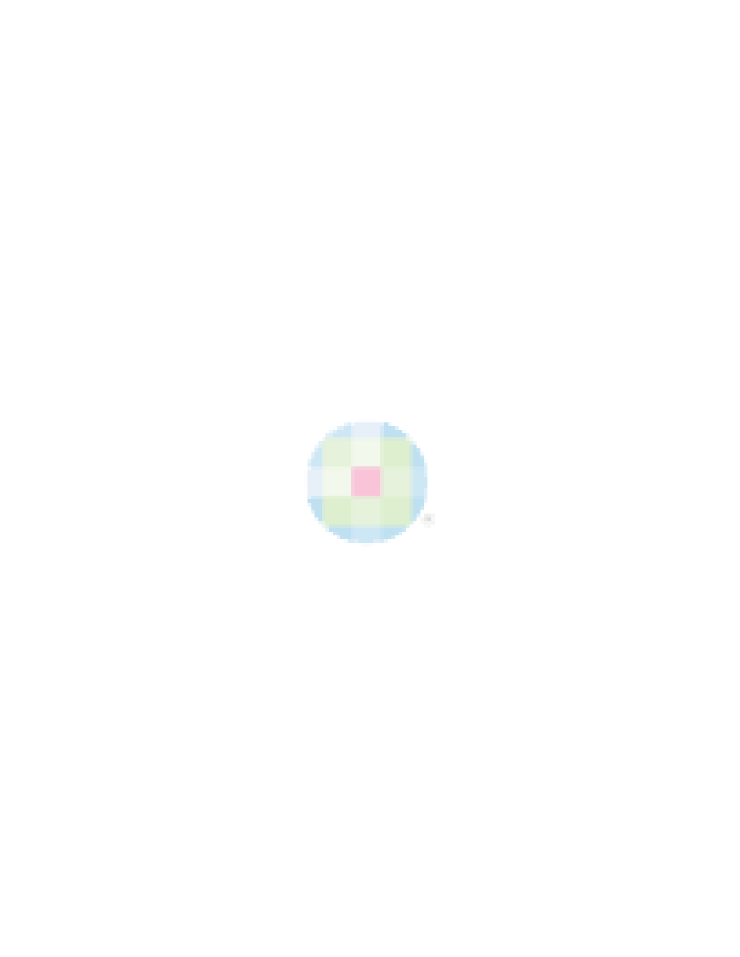Küçükyilmaz, *et al.:* Influence of blood on the adhesives

| Table 1: The composition, batch number, and application procedures of tested adhesive systems |                                                |                                                                    |  |  |
|-----------------------------------------------------------------------------------------------|------------------------------------------------|--------------------------------------------------------------------|--|--|
| <b>Adhesive System</b>                                                                        | <b>Composition</b>                             | <b>Application Procedure</b>                                       |  |  |
| Clearfil $S3$ Bond Plus                                                                       | MDP, HEMA, Bis-GMA, silanated colloidal        | Apply bond for 10 s. Dry with mild pressure                        |  |  |
| (Kuraray, Tokyo, Japan)                                                                       | silica, sodium fluoride, photo-initiators, CO. | air flow for 5 s Light cure for 10 s.                              |  |  |
| Batch: 041112/00010A                                                                          | ethanol, water                                 |                                                                    |  |  |
| All-Bond Universal                                                                            | MDP, Bis-GMA, HEMA, ethanol, water,            | Apply first application with scrubbing                             |  |  |
| (Bisco Inc., Schaumburg, IL, USA)                                                             | initiators                                     | motion for 15 s. Apply second application                          |  |  |
| Batch: 1200004839                                                                             |                                                | with scrubbing motion for 15 s. Do not light                       |  |  |
|                                                                                               |                                                | cure between coats. Evaporate solvent by                           |  |  |
|                                                                                               |                                                | thoroughly air-drying for at least 10 s. Light<br>cure for $10$ s. |  |  |
| Single Bond Universal Adhesive (also known MDP, dimethacrylate resins, HEMA,                  |                                                | Apply adhesive and rub it for 20 s. Dry with                       |  |  |
| as Scotchbond Universal Adhesive)                                                             | Vitrebond copolymer, filler, ethanol, water,   | gently air for 5 s. Light cure for 10 s.                           |  |  |
| (3M ESPE, Neuss, Germany)                                                                     | initiator, silane                              |                                                                    |  |  |

#### **Batch: 472584**

\*MDP: 10-Methacryloyloxydecyl dihydrogen phosphate, HEMA= hydroxyethyl methacrylate, Bis-GMA= bisphenolAglycidyl methacrylate,  $CQ =$  camphorquinone,



**Figure 1:** Schematic representation of the experimental design. The steps at which blood contamination occurred during the bonding procedure and the methods of decontamination are described.

## **Contamination-1 groups (negative control)**

The adhesive systems were applied to the dentin specimens according to the manufacturers' instructions and light-cured. The bonded surface was contaminated with fresh blood for 15 s using a microbrush. Fresh human capillary blood was collected from a single participant simultaneously during specimen preparation. The surface was gently dried with oil-free compressed air for 20 s from a distance of 10 cm.

### **Contamination-2 groups**

The adhesive systems were applied to the dentin specimens according to the manufacturers' instructions and lightcured. Then, the bonded surface was contaminated with fresh blood as described earlier. The blood was rinsed with water administered from an air-water syringe for 10 s and gently air-dried for few seconds.

### **Contamination-3 groups**

The adhesive systems were applied to the dentin specimens according to the manufacturers' instructions without light curing, and the bonded surface was contaminated with fresh blood as described earlier. The blood was then gently air-dried for 20 s from a distance of 10 cm. The adhesives were re-applied to the surface and light-cured.

## **Contamination-4 groups**

The adhesives were applied to the dentin specimens according to the manufacturers' instructions without light curing. The bonded surface was contaminated with fresh blood as previously described above. The blood was rinsed with water administered from an air-water syringe for 10 s and gently air-dried for few seconds, with care taken to avoid surface desiccation. The adhesives were reapplied to the surface and light-cured.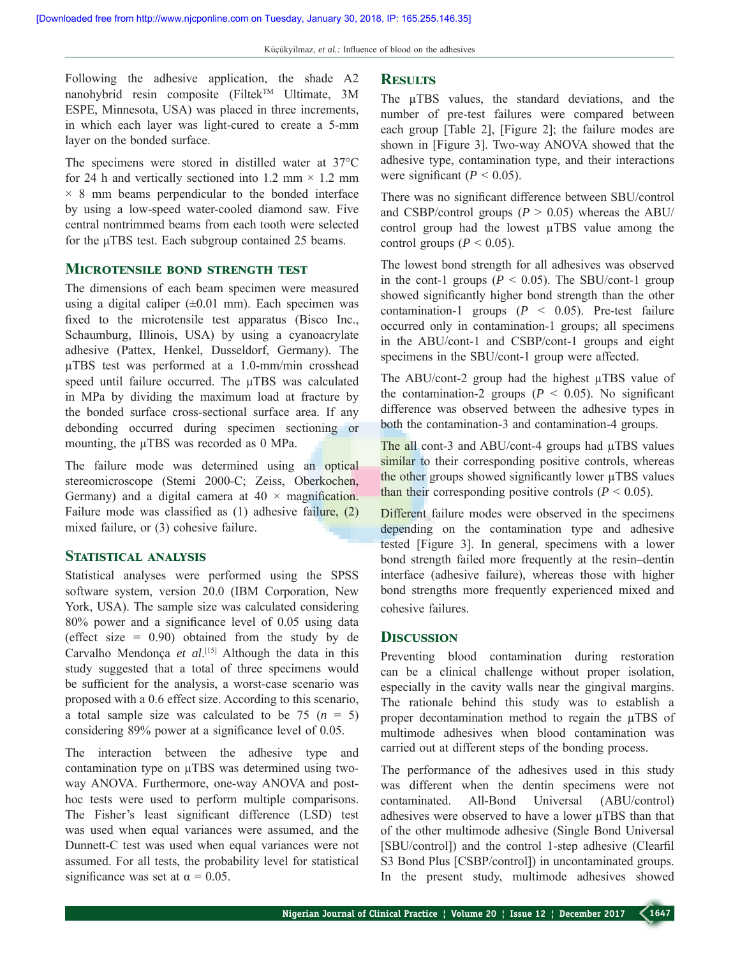Following the adhesive application, the shade A2 nanohybrid resin composite (Filtek™ Ultimate, 3M ESPE, Minnesota, USA) was placed in three increments, in which each layer was light-cured to create a 5-mm layer on the bonded surface.

The specimens were stored in distilled water at 37°C for 24 h and vertically sectioned into 1.2 mm  $\times$  1.2 mm  $\times$  8 mm beams perpendicular to the bonded interface by using a low-speed water-cooled diamond saw. Five central nontrimmed beams from each tooth were selected for the μTBS test. Each subgroup contained 25 beams.

#### **Microtensile bond strength test**

The dimensions of each beam specimen were measured using a digital caliper  $(\pm 0.01 \text{ mm})$ . Each specimen was fixed to the microtensile test apparatus (Bisco Inc., Schaumburg, Illinois, USA) by using a cyanoacrylate adhesive (Pattex, Henkel, Dusseldorf, Germany). The µTBS test was performed at a 1.0-mm/min crosshead speed until failure occurred. The μTBS was calculated in MPa by dividing the maximum load at fracture by the bonded surface cross-sectional surface area. If any debonding occurred during specimen sectioning or mounting, the µTBS was recorded as 0 MPa.

The failure mode was determined using an optical stereomicroscope (Stemi 2000-C; Zeiss, Oberkochen, Germany) and a digital camera at  $40 \times$  magnification. Failure mode was classified as (1) adhesive failure, (2) mixed failure, or (3) cohesive failure.

#### **Statistical analysis**

Statistical analyses were performed using the SPSS software system, version 20.0 (IBM Corporation, New York, USA). The sample size was calculated considering 80% power and a significance level of 0.05 using data (effect size  $= 0.90$ ) obtained from the study by de Carvalho Mendonça *et al*. [15] Although the data in this study suggested that a total of three specimens would be sufficient for the analysis, a worst-case scenario was proposed with a 0.6 effect size. According to this scenario, a total sample size was calculated to be 75  $(n = 5)$ considering 89% power at a significance level of 0.05.

The interaction between the adhesive type and contamination type on µTBS was determined using twoway ANOVA. Furthermore, one-way ANOVA and posthoc tests were used to perform multiple comparisons. The Fisher's least significant difference (LSD) test was used when equal variances were assumed, and the Dunnett-C test was used when equal variances were not assumed. For all tests, the probability level for statistical significance was set at  $\alpha = 0.05$ .

#### **Results**

The  $\mu$ TBS values, the standard deviations, and the number of pre-test failures were compared between each group [Table 2], [Figure 2]; the failure modes are shown in [Figure 3]. Two-way ANOVA showed that the adhesive type, contamination type, and their interactions were significant ( $P < 0.05$ ).

There was no significant difference between SBU/control and CSBP/control groups  $(P > 0.05)$  whereas the ABU/ control group had the lowest µTBS value among the control groups ( $P < 0.05$ ).

The lowest bond strength for all adhesives was observed in the cont-1 groups  $(P < 0.05)$ . The SBU/cont-1 group showed significantly higher bond strength than the other contamination-1 groups  $(P \le 0.05)$ . Pre-test failure occurred only in contamination-1 groups; all specimens in the ABU/cont-1 and CSBP/cont-1 groups and eight specimens in the SBU/cont-1 group were affected.

The ABU/cont-2 group had the highest  $\mu$ TBS value of the contamination-2 groups ( $P < 0.05$ ). No significant difference was observed between the adhesive types in both the contamination-3 and contamination-4 groups.

The all cont-3 and ABU/cont-4 groups had  $\mu$ TBS values similar to their corresponding positive controls, whereas the other groups showed significantly lower µTBS values than their corresponding positive controls  $(P < 0.05)$ .

Different failure modes were observed in the specimens depending on the contamination type and adhesive tested [Figure 3]. In general, specimens with a lower bond strength failed more frequently at the resin–dentin interface (adhesive failure), whereas those with higher bond strengths more frequently experienced mixed and cohesive failures.

#### **Discussion**

Preventing blood contamination during restoration can be a clinical challenge without proper isolation, especially in the cavity walls near the gingival margins. The rationale behind this study was to establish a proper decontamination method to regain the µTBS of multimode adhesives when blood contamination was carried out at different steps of the bonding process.

The performance of the adhesives used in this study was different when the dentin specimens were not contaminated. All-Bond Universal (ABU/control) adhesives were observed to have a lower μTBS than that of the other multimode adhesive (Single Bond Universal [SBU/control]) and the control 1-step adhesive (Clearfil S3 Bond Plus [CSBP/control]) in uncontaminated groups. In the present study, multimode adhesives showed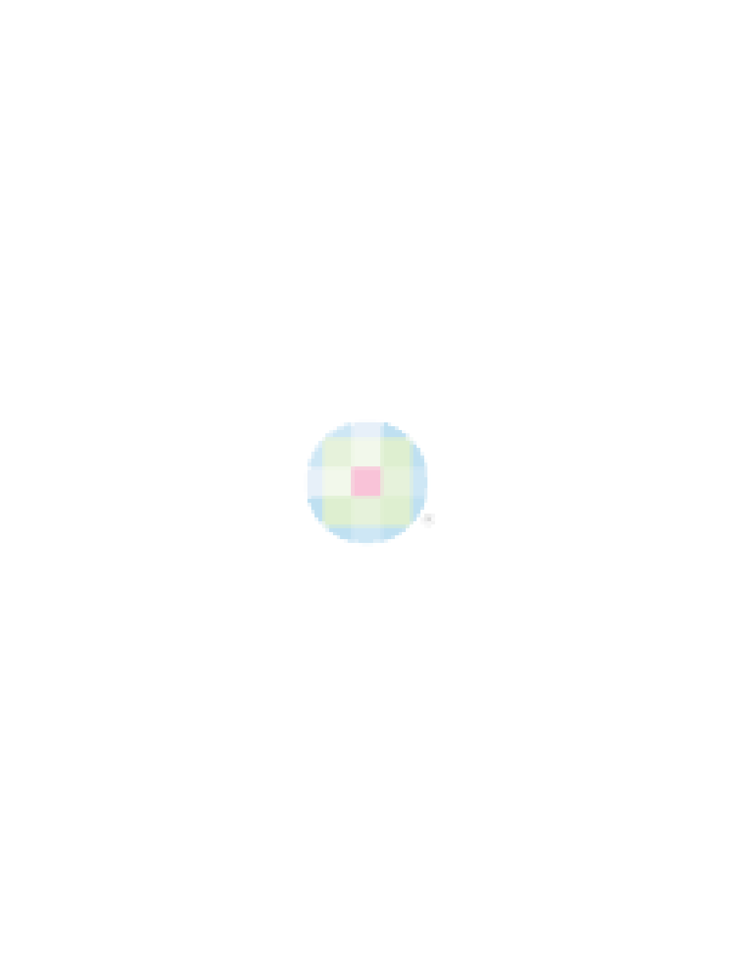Küçükyilmaz, *et al.:* Influence of blood on the adhesives

| (standard deviations) in MPa, number of pre-test failure, |                                       |                                  |                     |  |  |  |
|-----------------------------------------------------------|---------------------------------------|----------------------------------|---------------------|--|--|--|
| and the statistical comparisons                           |                                       |                                  |                     |  |  |  |
| <b>Contamination</b>                                      | <b>Adhesives</b>                      | Mean (SD)                        | $p$ value           |  |  |  |
| Control Groups                                            | Single Bond Universal                 | $27.0(6.1)^{A}$<br>0/25          | $0.009\$            |  |  |  |
|                                                           | All Bond Universal                    | $23.2(5.8)^{B}$<br>0/25          |                     |  |  |  |
|                                                           | Clearfil S <sup>3</sup> Bond Plus     | 28.2 $(5.4)^A$<br>0/25           |                     |  |  |  |
| Groups                                                    | Contamination-1 Single Bond Universal | $8.1 (2.2)^a$<br>8/25            | $0.000 \, \text{T}$ |  |  |  |
|                                                           | All Bond Universal                    | $0(0)^{b}$<br>25/25              |                     |  |  |  |
|                                                           | Clearfil S <sup>3</sup> Bond Plus     | $0(0)^{b}$<br>25/25              |                     |  |  |  |
| Groups                                                    | Contamination-2 Single Bond Universal | $11.3 (3.9)^{x}$<br>0/25         | $0.000 \, \text{T}$ |  |  |  |
|                                                           | All Bond Universal                    | $16.1(5.7)$ <sup>y</sup><br>0/25 |                     |  |  |  |
|                                                           | Clearfil S <sup>3</sup> Bond Plus     | $12.4(2.5)^{x}$<br>0/25          |                     |  |  |  |
| Groups                                                    | Contamination-3 Single Bond Universal | $24.4(5.8)^a$<br>0/25            | $0.190 \text{ T}$   |  |  |  |
|                                                           | All Bond Universal                    | $22.8(3.8)^{\alpha}$<br>0/25     |                     |  |  |  |
|                                                           | Clearfil S3 Bond Plus                 | $25.5(6.0)^{\alpha}$<br>0/25     |                     |  |  |  |
| Groups                                                    | Contamination-4 Single Bond Universal | $21.3(6.9)^{\Phi}$<br>0/25       | $0.526 \; \text{T}$ |  |  |  |
|                                                           | All Bond Universal                    | $20.3 (4.2)^{\Phi}$<br>0/25      |                     |  |  |  |
|                                                           | Clearfil S3 Bond Plus                 | 22.0 $(4.3)^{\Phi}$<br>0/25      |                     |  |  |  |

**Table 2: Microtensile bond strength values means** 

\* Same superscript indicates no statistically significant difference (*p*<0.05). §: Fisher LSD, ¶: Dunnett-C test.

different results than those previously reported with respect to the bond strength to dentin. Muñoz *et al*. [25] and Lee *et al*. [26] observed a significantly lower μTBS to dentin in All-Bond Universal compared with Single Bond Universal and Clearfil S3 Bond Plus adhesives, whereas Wagner *et al.*<sup>[27]</sup> reported no significant differences in bond strength between Single Bond Universal and All-Bond Universal. Therefore, the compositional differences in the adhesives may play an important role in their bonding performance in the present study. One would have expected that similar performances would be observed among all the adhesives, because all of these include the 10-methacryloyloxydecyl dihydrogen phosphate (MDP) monomer, which is capable of chemically bonding to hydroxyapatite by self-assembling into nanolayers at the adhesive interface; additionally, all adhesives include hydroxyethyl methacrylate (HEMA), a water-soluble methacrylate monomer that increases the wettability and hydrophilicity of the adhesives.<sup>[28,29]</sup>









However, the amount of MDP and HEMA incorporated into the adhesives markedly influences the mechanical properties and stability of the adhesive interface,<sup>[30]</sup> which may explain the different bond strengths between adhesives tested in this study. In addition, the presence of the polyalkenoic acid polymer in the composition of Single Bond Universal may explain the higher bond strength of this adhesive than that of All-Bond Universal. Although polyalkenoic acid polymer and MDP may compete for calcium bonding sites in hydroxyapatite,<sup>[29]</sup> these monomers are generally associated with improved bonding performance.[5,31]

The null hypothesis was rejected because different blood contamination procedures affected the μTBS of the tested adhesives to dentin. When the contamination occurred after light curing, two approaches were used to counteract any decrease in µTBS: air-drying alone (contamination-1) or rinsing followed by drying (contamination-2). Air-drying after light curing named negative control (cont-1 groups) resulted in the worst dentin µTBS values, which is consistent with previous reports.[15,32,33] Residual blood proteins adsorbed onto the polymerized bonding surface may have potentially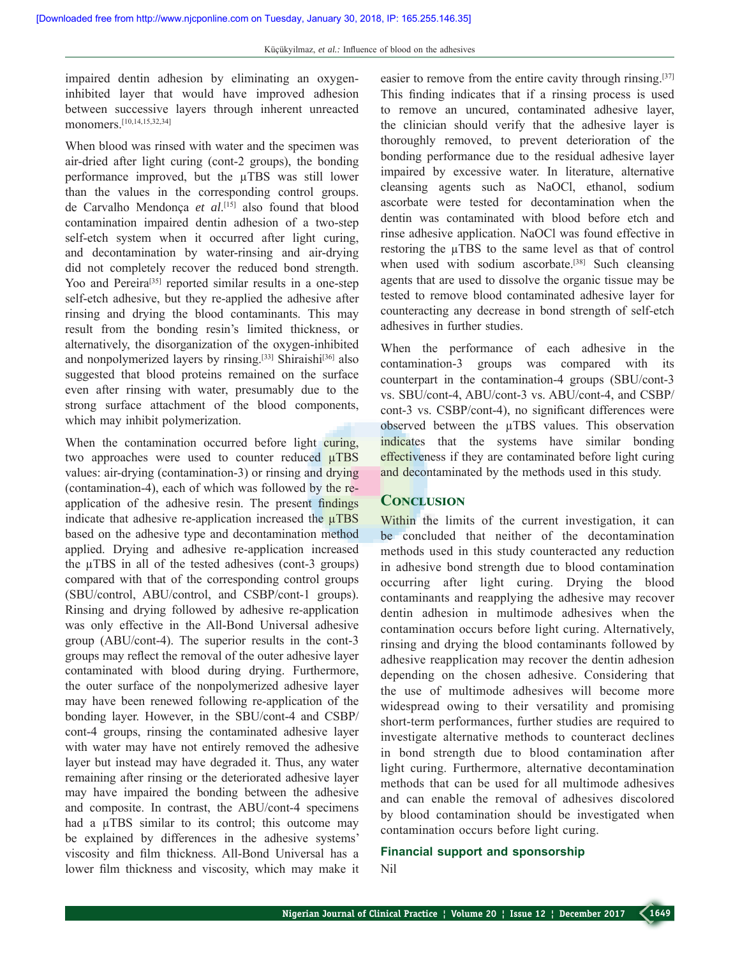impaired dentin adhesion by eliminating an oxygeninhibited layer that would have improved adhesion between successive layers through inherent unreacted monomers.[10,14,15,32,34]

When blood was rinsed with water and the specimen was air-dried after light curing (cont-2 groups), the bonding performance improved, but the µTBS was still lower than the values in the corresponding control groups. de Carvalho Mendonça *et al*. [15] also found that blood contamination impaired dentin adhesion of a two-step self-etch system when it occurred after light curing, and decontamination by water-rinsing and air-drying did not completely recover the reduced bond strength. Yoo and Pereira<sup>[35]</sup> reported similar results in a one-step self-etch adhesive, but they re-applied the adhesive after rinsing and drying the blood contaminants. This may result from the bonding resin's limited thickness, or alternatively, the disorganization of the oxygen-inhibited and nonpolymerized layers by rinsing.<sup>[33]</sup> Shiraishi<sup>[36]</sup> also suggested that blood proteins remained on the surface even after rinsing with water, presumably due to the strong surface attachment of the blood components, which may inhibit polymerization.

When the contamination occurred before light curing, two approaches were used to counter reduced  $\mu$ TBS values: air-drying (contamination-3) or rinsing and drying (contamination-4), each of which was followed by the reapplication of the adhesive resin. The present findings indicate that adhesive re-application increased the  $\mu$ TBS based on the adhesive type and decontamination method applied. Drying and adhesive re-application increased the µTBS in all of the tested adhesives (cont-3 groups) compared with that of the corresponding control groups (SBU/control, ABU/control, and CSBP/cont-1 groups). Rinsing and drying followed by adhesive re-application was only effective in the All-Bond Universal adhesive group (ABU/cont-4). The superior results in the cont-3 groups may reflect the removal of the outer adhesive layer contaminated with blood during drying. Furthermore, the outer surface of the nonpolymerized adhesive layer may have been renewed following re-application of the bonding layer. However, in the SBU/cont-4 and CSBP/ cont-4 groups, rinsing the contaminated adhesive layer with water may have not entirely removed the adhesive layer but instead may have degraded it. Thus, any water remaining after rinsing or the deteriorated adhesive layer may have impaired the bonding between the adhesive and composite. In contrast, the ABU/cont-4 specimens had a  $\mu$ TBS similar to its control; this outcome may be explained by differences in the adhesive systems' viscosity and film thickness. All-Bond Universal has a lower film thickness and viscosity, which may make it

easier to remove from the entire cavity through rinsing.<sup>[37]</sup> This finding indicates that if a rinsing process is used to remove an uncured, contaminated adhesive layer, the clinician should verify that the adhesive layer is thoroughly removed, to prevent deterioration of the bonding performance due to the residual adhesive layer impaired by excessive water. In literature, alternative cleansing agents such as NaOCl, ethanol, sodium ascorbate were tested for decontamination when the dentin was contaminated with blood before etch and rinse adhesive application. NaOCl was found effective in restoring the µTBS to the same level as that of control when used with sodium ascorbate.<sup>[38]</sup> Such cleansing agents that are used to dissolve the organic tissue may be tested to remove blood contaminated adhesive layer for counteracting any decrease in bond strength of self-etch adhesives in further studies.

When the performance of each adhesive in the contamination-3 groups was compared with its counterpart in the contamination-4 groups (SBU/cont-3 vs. SBU/cont-4, ABU/cont-3 vs. ABU/cont-4, and CSBP/ cont-3 vs. CSBP/cont-4), no significant differences were observed between the µTBS values. This observation indicates that the systems have similar bonding effectiveness if they are contaminated before light curing and decontaminated by the methods used in this study.

#### **Conclusion**

Within the limits of the current investigation, it can be concluded that neither of the decontamination methods used in this study counteracted any reduction in adhesive bond strength due to blood contamination occurring after light curing. Drying the blood contaminants and reapplying the adhesive may recover dentin adhesion in multimode adhesives when the contamination occurs before light curing. Alternatively, rinsing and drying the blood contaminants followed by adhesive reapplication may recover the dentin adhesion depending on the chosen adhesive. Considering that the use of multimode adhesives will become more widespread owing to their versatility and promising short-term performances, further studies are required to investigate alternative methods to counteract declines in bond strength due to blood contamination after light curing. Furthermore, alternative decontamination methods that can be used for all multimode adhesives and can enable the removal of adhesives discolored by blood contamination should be investigated when contamination occurs before light curing.

# **Financial support and sponsorship**